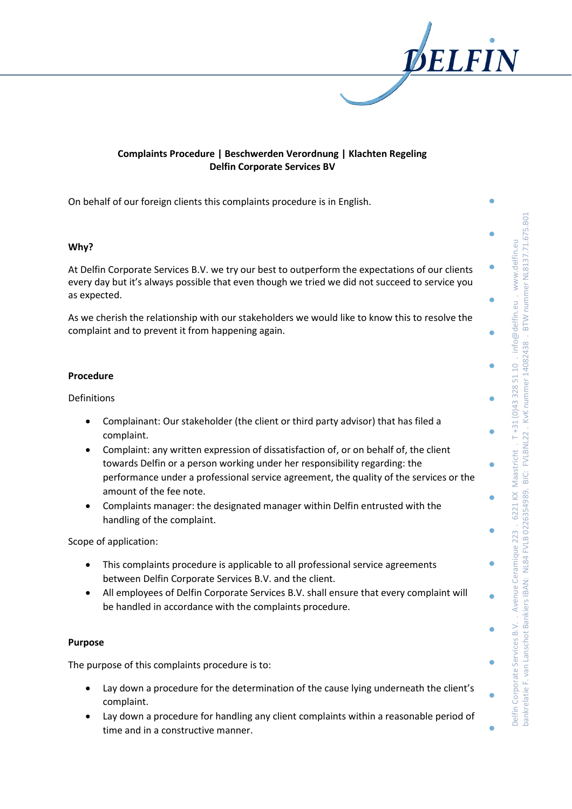

# **Complaints Procedure | Beschwerden Verordnung | Klachten Regeling Delfin Corporate Services BV**

On behalf of our foreign clients this complaints procedure is in English.

### **Why?**

At Delfin Corporate Services B.V. we try our best to outperform the expectations of our clients every day but it's always possible that even though we tried we did not succeed to service you as expected.

As we cherish the relationship with our stakeholders we would like to know this to resolve the complaint and to prevent it from happening again.

### **Procedure**

### Definitions

- Complainant: Our stakeholder (the client or third party advisor) that has filed a complaint.
- Complaint: any written expression of dissatisfaction of, or on behalf of, the client towards Delfin or a person working under her responsibility regarding: the performance under a professional service agreement, the quality of the services or the amount of the fee note.
- Complaints manager: the designated manager within Delfin entrusted with the handling of the complaint.

Scope of application:

- This complaints procedure is applicable to all professional service agreements between Delfin Corporate Services B.V. and the client.
- All employees of Delfin Corporate Services B.V. shall ensure that every complaint will be handled in accordance with the complaints procedure.

### **Purpose**

The purpose of this complaints procedure is to:

- Lay down a procedure for the determination of the cause lying underneath the client's complaint.
- Lay down a procedure for handling any client complaints within a reasonable period of time and in a constructive manner.

BTW nummer NL8137.71.675.B01 bankrelatie F. van Lanschot Bankiers IBAN: NL84 FVLB 0226354989. BIC: FVLBNL22 . KvK nummer 14082438 . BTW nummer NL8137.71.675.B01 T+31 (0)43 328 51 10 . info@delfin.eu . www.delfin.eu Delfin Corporate Services B.V. . Avenue Ceramique 223 . 6221 KX Maastricht . T +31 (0)43 328 51 10 . info@delfin.eu . www.delfin.eu BIC: FVLBNL22. KvK nummer 14082438. Maastricht. pankrelatie F. van Lanschot Bankiers IBAN: NL84 FVLB 0226354989. 6221 KX Avenue Ceramique 223. Delfin Corporate Services B.V.